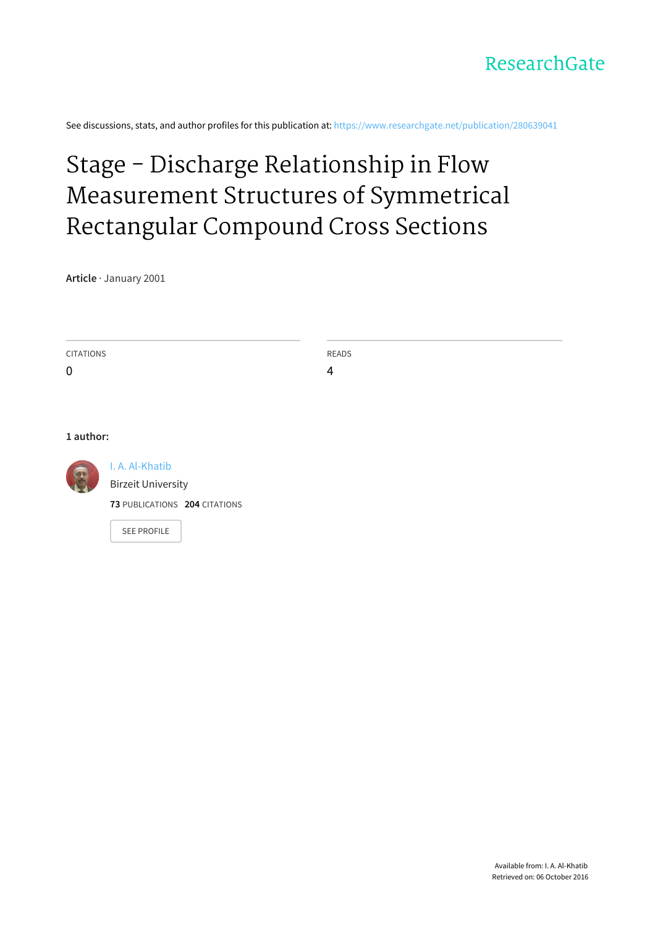See discussions, stats, and author profiles for this publication at: [https://www.researchgate.net/publication/280639041](https://www.researchgate.net/publication/280639041_Stage_-_Discharge_Relationship_in_Flow_Measurement_Structures_of_Symmetrical_Rectangular_Compound_Cross_Sections?enrichId=rgreq-4ac82d3797ba07652901bb83cb200b51-XXX&enrichSource=Y292ZXJQYWdlOzI4MDYzOTA0MTtBUzoyNzEwMDI1NTQ4NTk1MjBAMTQ0MTYyMzQ1MjQ4Ng%3D%3D&el=1_x_2)

## Stage - Discharge Relationship in Flow [Measurement](https://www.researchgate.net/publication/280639041_Stage_-_Discharge_Relationship_in_Flow_Measurement_Structures_of_Symmetrical_Rectangular_Compound_Cross_Sections?enrichId=rgreq-4ac82d3797ba07652901bb83cb200b51-XXX&enrichSource=Y292ZXJQYWdlOzI4MDYzOTA0MTtBUzoyNzEwMDI1NTQ4NTk1MjBAMTQ0MTYyMzQ1MjQ4Ng%3D%3D&el=1_x_3) Structures of Symmetrical Rectangular Compound Cross Sections

**Article** · January 2001

SEE [PROFILE](https://www.researchgate.net/profile/I_Al-Khatib?enrichId=rgreq-4ac82d3797ba07652901bb83cb200b51-XXX&enrichSource=Y292ZXJQYWdlOzI4MDYzOTA0MTtBUzoyNzEwMDI1NTQ4NTk1MjBAMTQ0MTYyMzQ1MjQ4Ng%3D%3D&el=1_x_7)

| <b>CITATIONS</b> |                               | <b>READS</b> |  |
|------------------|-------------------------------|--------------|--|
| $\mathbf 0$      |                               | 4            |  |
|                  |                               |              |  |
|                  |                               |              |  |
|                  |                               |              |  |
| 1 author:        |                               |              |  |
| E                | I. A. Al-Khatib               |              |  |
|                  | <b>Birzeit University</b>     |              |  |
|                  | 73 PUBLICATIONS 204 CITATIONS |              |  |